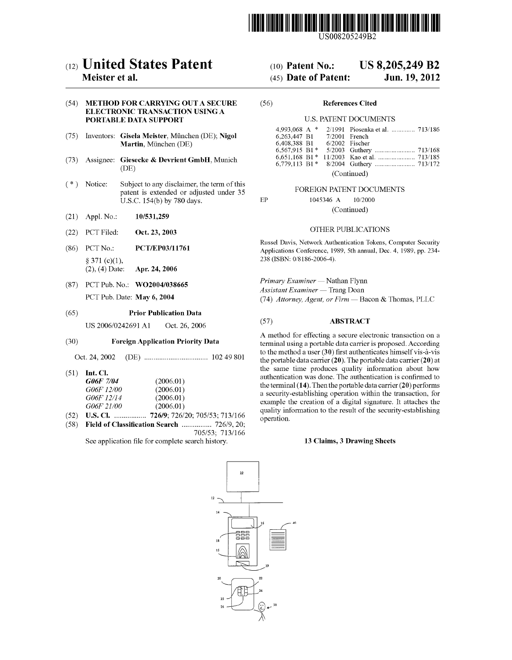

US008205249B2

# c12) **United States Patent**

## **Meister et al.**

## (54) **METHOD FOR CARRYING OUT A SECURE ELECTRONIC TRANSACTION USING A PORTABLE DATA SUPPORT**

- (75) Inventors: **Gisela Meister,** Munchen (DE); **Nigol Martin, München (DE)**
- (73) Assignee: **Giesecke & Devrient GmbH,** Munich (DE)
- (\*) Notice: Subject to any disclaimer, the term of this patent is extended or adjusted under 35 U.S.C. 154(b) by 780 days.
- (21) Appl. No.: **10/531,259**
- (22) PCT Filed: **Oct. 23, 2003**
- (86) PCT No.: **PCT/EP03/ll 761**  § 371 (c)(l), (2), ( 4) Date: **Apr. 24, 2006**
- (87) PCT Pub. No.: **WO2004/038665**  PCT Pub. Date: **May 6, 2004**

### (65) **Prior Publication Data**

US 2006/0242691 Al Oct. 26, 2006

## (30) **Foreign Application Priority Data**

Oct. 24, 2002 (DE) .................................. 102 49 801

(51) **Int. Cl.** 

| G06F 7/04  | (2006.01) |
|------------|-----------|
| G06F 12/00 | (2006.01) |
| G06F 12/14 | (2006.01) |
| G06F 21/00 | (2006.01) |

- (52) **U.S. Cl.** ................. **726/9;** 726/20; 705/53; 713/166
- ( 58) **Field of Classification Search** ................ 726/9, 20; 705/53; 713/166 See application file for complete search history.

 $10$ 12

## (IO) **Patent No.: US 8,205,249 B2**

## (45) **Date of Patent: Jun.19,2012**

#### (56) **References Cited**

EP

### U.S. PATENT DOCUMENTS

| 4.993.068 A *             |  |                  | 2/1991 Piosenka et al.  713/186 |  |
|---------------------------|--|------------------|---------------------------------|--|
| 6.263.447 B1              |  | $7/2001$ French  |                                 |  |
| 6.408.388 B1              |  | $6/2002$ Fischer |                                 |  |
| 6,567,915 B1*             |  |                  |                                 |  |
|                           |  |                  |                                 |  |
|                           |  |                  |                                 |  |
| $(C_{\alpha}$ is $\alpha$ |  |                  |                                 |  |

(Continued)

## FOREIGN PATENT DOCUMENTS

1045346 A 10/2000 (Continued)

## OTHER PUBLICATIONS

Russel Davis, Network Authentication Tokens, Computer Security Applications Conference, 1989, 5th annual, Dec. 4, 1989, pp. 234- 238 **(ISBN:** 0/8186-2006-4).

*Primary Examiner* - Nathan Flynn *Assistant Examiner* - Trang Doan (74) *Attorney, Agent, or Firm* - Bacon & Thomas, PLLC

## (57) **ABSTRACT**

A method for effecting a secure electronic transaction on a terminal using a portable data carrier is proposed. According to the method a user **(30)** first authenticates himself vis-a-vis the portable data carrier **(20).** The portable data carrier **(20)** at the same time produces quality information about how authentication was done. The authentication is confirmed to the terminal **(14).** Then the portable data carrier **(20)** performs a security-establishing operation within the transaction, for example the creation of a digital signature. It attaches the quality information to the result of the security-establishing operation.

## **13 Claims, 3 Drawing Sheets**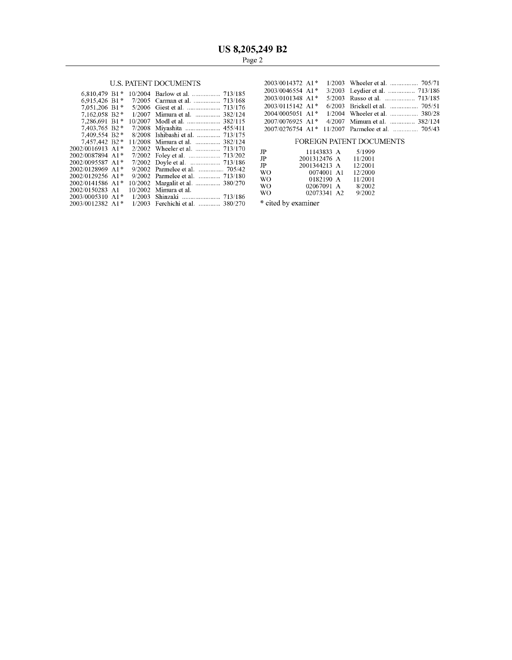## U.S. PATENT DOCUMENTS

|                                            |        |                                  | 2003/0046554 A1*               |              |             | $3/2003$ Leydier et        |
|--------------------------------------------|--------|----------------------------------|--------------------------------|--------------|-------------|----------------------------|
| $6,810,479$ B1*                            |        |                                  | 2003/0101348 A1*               |              |             | $5/2003$ Russo et a        |
|                                            |        |                                  |                                |              |             |                            |
| 7,051,206 B1*                              |        |                                  | $2003/0115142$ A1 <sup>*</sup> |              |             | $6/2003$ Brickell e        |
| $7.162.058$ B <sub>2</sub> <sup>*</sup>    |        | 1/2007 Mimura et al.  382/124    | 2004/0005051 A1*               |              | 1/2004      | Wheeler e                  |
| $7.286.691 B1*$                            |        | 10/2007 Modl et al.  382/115     | 2007/0076925 A1*               |              | 4/2007      | Mimura e                   |
| 7.403.765 B2 *                             |        | 7/2008 Miyashita  455/411        | $2007/0276754$ A1 <sup>*</sup> |              |             | $11/2007$ Parmelee         |
| 7.409.554 B2 $*$                           |        | 8/2008 Ishibashi et al.  713/175 |                                |              |             |                            |
| $7.457.442 B2*$                            |        | 11/2008 Mimura et al.  382/124   |                                |              |             | <b>FOREIGN PATENT DOCT</b> |
| $2002/0016913$ A <sub>1</sub> <sup>*</sup> |        |                                  | JP                             |              | 11143833 A  | 5/1999                     |
| $2002/0087894$ A <sub>1</sub> <sup>*</sup> |        |                                  | $_{\rm JP}$                    | 2001312476 A |             | 11/2001                    |
| $2002/0095587$ A <sub>1</sub> <sup>*</sup> |        |                                  |                                |              |             |                            |
| 2002/0128969 A1*                           |        | 9/2002 Parmelee et al.  705/42   | JP                             | 2001344213 A |             | 12/2001                    |
| 2002/0129256 A1*                           |        |                                  | WO.                            |              | 0074001 A1  | 12/2000                    |
|                                            |        | 9/2002 Parmelee et al.  713/180  | WO.                            |              | 0182190 A   | 11/2001                    |
| $2002/0141586$ A1 <sup>*</sup>             |        | 10/2002 Margalit et al.  380/270 | <b>WO</b>                      |              | 02067091 A  | 8/2002                     |
| 2002/0150283 A1                            |        | $10/2002$ Mimura et al.          |                                |              |             |                            |
| $2003/0005310$ A1 <sup>*</sup>             | 1/2003 |                                  | WO.                            |              | 02073341 A2 | 9/2002                     |
|                                            |        |                                  |                                |              |             |                            |
| 2003/0012382 A1*                           |        | 1/2003 Ferchichi et al.  380/270 | * cited by examiner            |              |             |                            |
|                                            |        |                                  |                                |              |             |                            |

| 2003/0014372 A1*               |                                                  |
|--------------------------------|--------------------------------------------------|
| 2003/0046554 A1*               |                                                  |
| 2003/0101348 A1*               |                                                  |
| $2003/0115142$ A1 <sup>*</sup> |                                                  |
| 2004/0005051 A1*               | 1/2004 Wheeler et al.  380/28                    |
| 2007/0076925 A1*               | 4/2007 Mimura et al.  382/124                    |
|                                | 2007/0276754 A1* 11/2007 Parmelee et al.  705/43 |

## FOREIGN PATENT DOCUMENTS

| JP | 11143833 A   | 5/1999  |
|----|--------------|---------|
| JP | 2001312476 A | 11/2001 |
| JP | 2001344213 A | 12/2001 |
| WΩ | 0074001 A1   | 12/2000 |
| WΟ | 0182190 A    | 11/2001 |
| WΟ | 02067091 A   | 8/2002  |
| WО | 02073341 A2  | 9/2002  |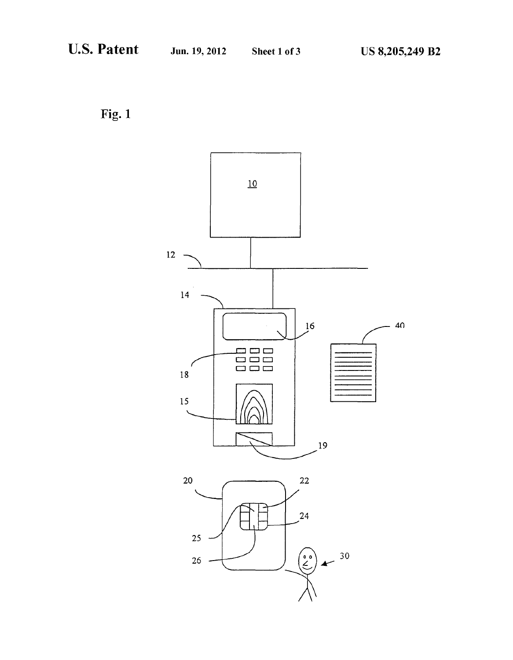Fig. 1

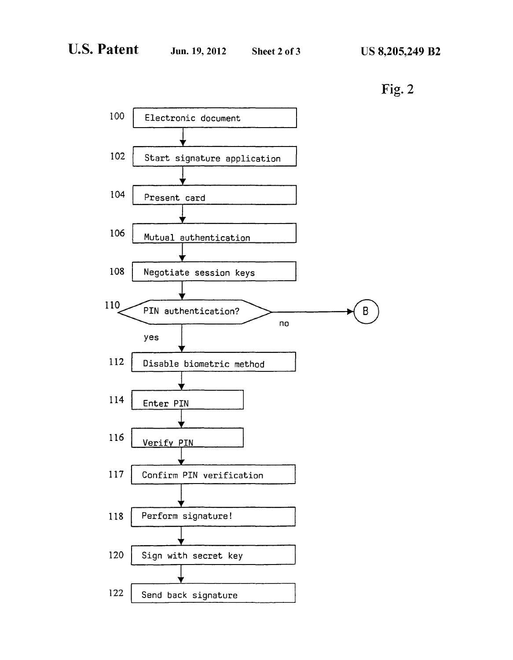Fig.2

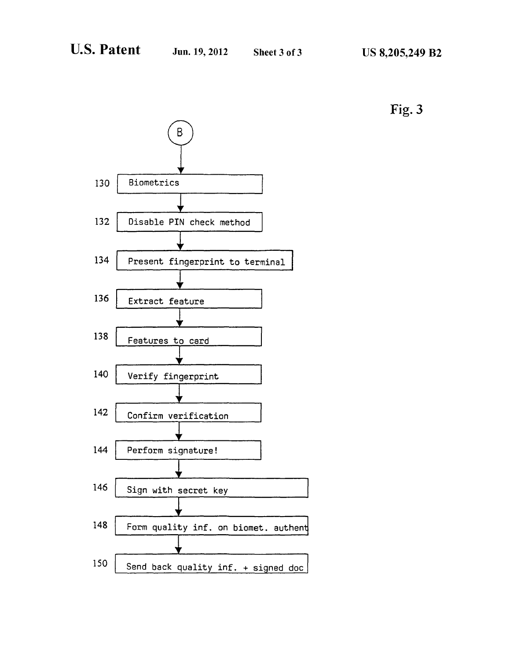

**Fig. 3**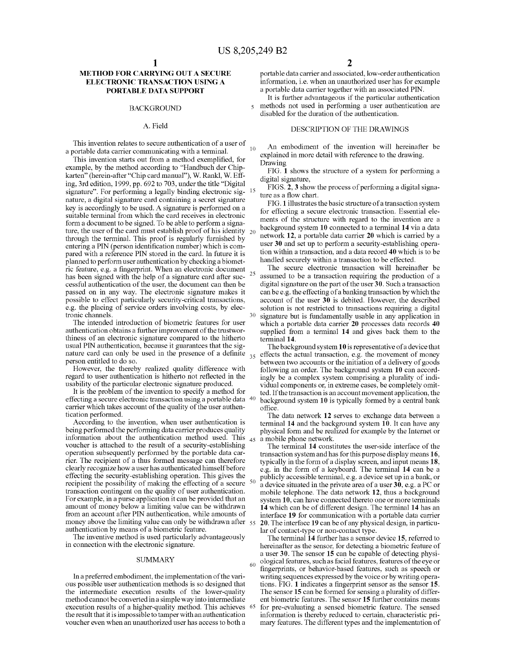## **METHOD FOR CARRYING OUT A SECURE ELECTRONIC TRANSACTION USING A PORTABLE DATA SUPPORT**

#### BACKGROUND

### A. Field

This invention relates to secure authentication of a user of a portable data carrier communicating with a terminal.

This invention starts out from a method exemplified, for example, by the method according to "Handbuch der Chipkarten" (herein-after "Chip card manual"), W. Rank!, W. Effing, 3rd edition, 1999, pp. 692 to 703, under the title "Digital signature". For performing a legally binding electronic sig- <sup>15</sup> nature, a digital signature card containing a secret signature key is accordingly to be used. A signature is performed on a suitable terminal from which the card receives in electronic form a document to be signed. To be able to perform a signature, the user of the card must establish proof of his identity  $_{20}$ through the terminal. This proof is regularly furnished by entering a PIN (person identification number) which is compared with a reference PIN stored in the card. In future it is planned to perform user authentication by checking a biometric feature, e.g. a fingerprint. When an electronic document has been signed with the help of a signature card after successful authentication of the user, the document can then be passed on in any way. The electronic signature makes it possible to effect particularly security-critical transactions, e.g. the placing of service orders involving costs, by electronic channels.

The intended introduction of biometric features for user authentication obtains a further improvement of the trustworthiness of an electronic signature compared to the hitherto usual PIN authentication, because it guarantees that the signature card can only be used in the presence of a definite  $_{35}$  person entitled to do so.

However, the thereby realized quality difference with regard to user authentication is hitherto not reflected in the usability of the particular electronic signature produced.

It is the problem of the invention to specify a method for effecting a secure electronic transaction using a portable data 40 carrier which takes account of the quality of the user authentication performed.

According to the invention, when user authentication is being performed the performing data carrier produces quality information about the authentication method used. This  $_{45}$ voucher is attached to the result of a security-establishing operation subsequently performed by the portable data carrier. The recipient of a thus formed message can therefore clearly recognize how a user has authenticated himself before effecting the security-establishing operation. This gives the recipient the possibility of making the effecting of a secure <sup>50</sup> transaction contingent on the quality of user authentication. For example, in a purse application it can be provided that an amount of money below a limiting value can be withdrawn from an account after PIN authentication, while amounts of money above the limiting value can only be withdrawn after  $55$ authentication by means of a biometric feature.

The inventive method is used particularly advantageously in connection with the electronic signature.

In a preferred embodiment, the implementation of the various possible user authentication methods is so designed that the intermediate execution results of the lower-quality method cannot be converted in a simple way into intermediate execution results of a higher-quality method. This achieves <sup>65</sup> the result that it is impossible to tamper with an authentication voucher even when an unauthorized user has access to both a

portable data carrier and associated, low-order authentication information, i.e. when an unauthorized user has for example a portable data carrier together with an associated PIN.

It is further advantageous if the particular authentication 5 methods not used in performing a user authentication are disabled for the duration of the authentication.

#### DESCRIPTION OF THE DRAWINGS

An embodiment of the invention will hereinafter be explained in more detail with reference to the drawing. Drawing

FIG. **1** shows the structure of a system for performing a digital signature,

FIGS. **2, 3** show the process of performing a digital signature as a flow chart.

**FIG.1** illustrates the basic structure of a transaction system for effecting a secure electronic transaction. Essential elements of the structure with regard to the invention are a background system **10** connected to a terminal **14** via a data network **12,** a portable data carrier **20** which is carried by a user **30** and set up to perform a security-establishing operation within a transaction, and a data record **40** which is to be handled securely within a transaction to be effected.

The secure electronic transaction will hereinafter be assumed to be a transaction requiring the production of a digital signature on the part of the user **30.** Such a transaction can be e.g. the effecting of a banking transaction by which the account of the user **30** is debited. However, the described solution is not restricted to transactions requiring a digital signature but is fundamentally usable in any application in which a portable data carrier **20** processes data records **40**  supplied from a terminal **14** and gives back them to the terminal **14.** 

The background system **10** is representative of a device that effects the actual transaction, e.g. the movement of money between two accounts or the initiation of a delivery of goods following an order. The background system **10** can accordingly be a complex system comprising a plurality of individual components or, in extreme cases, be completely omitted. If the transaction is an account movement application, the background system **10** is typically formed by a central bank office.

The data network **12** serves to exchange data between a terminal **14** and the background system **10.** It can have any physical form and be realized for example by the Internet or a mobile phone network.

The terminal **14** constitutes the user-side interface of the transaction system and has for this purpose display means **16,**  typically in the form of a display screen, and input means **18,**  e.g. in the form of a keyboard. The terminal **14** can be a publicly accessible terminal, e.g. a device set up in a bank, or a device situated in the private area of a user **30,** e.g. a PC or mobile telephone. The data network **12,** thus a background system 10, can have connected thereto one or more terminals **14** which can be of different design. The terminal **14** has an interface **19** for communication with a portable data carrier **20.** The interface **19** can be of any physical design, in particular of contact-type or non-contact type.

The terminal **14** further has a sensor device **15,** referred to hereinafter as the sensor, for detecting a biometric feature of a user **30**. The sensor **15** can be capable of detecting physi-<br>SUMMARY ological features, such as facial features, features of the eye or 60 ological features, such as facial features, features of the eye or fingerprints, or behavior-based features, such as speech or writing sequences expressed by the voice or by writing operations. FIG. **1** indicates a fingerprint sensor as the sensor **15.**  The sensor **15** can be formed for sensing a plurality of different biometric features. The sensor **15** further contains means for pre-evaluating a sensed biometric feature. The sensed information is thereby reduced to certain, characteristic primary features. The different types and the implementation of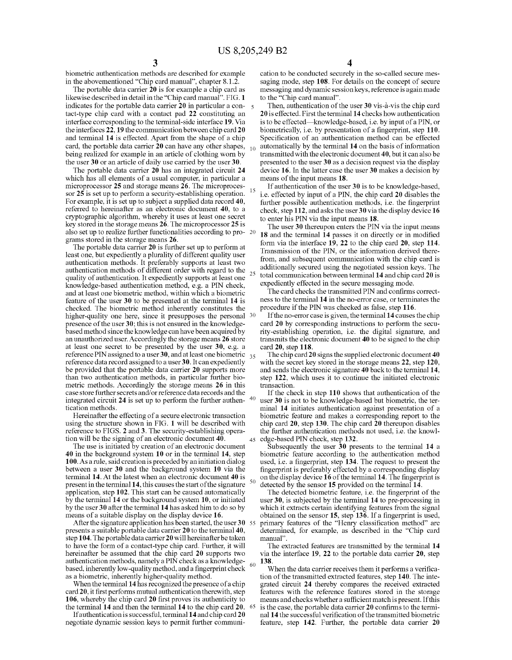biometric authentication methods are described for example in the abovementioned "Chip card manual", chapter 8.1.2.

The portable data carrier **20** is for example a chip card as likewise described in detail in the "Chip card manual". FIG. **1**  indicates for the portable data carrier **20** in particular a con- 5 tact-type chip card with a contact pad **22** constituting an interface corresponding to the terminal-side interface **19.** Via the interfaces **22, 19** the communication between chip card **20**  and terminal **14** is effected. Apart from the shape of a chip card, the portable data carrier  $\overline{20}$  can have any other shapes,  $_{10}$ being realized for example in an article of clothing worn by the user **30** or an article of daily use carried by the user **30.** 

The portable data carrier **20** has an integrated circuit **24**  which has all elements of a usual computer, in particular a microprocessor **25** and storage means **26.** The microprocessor **25** is set up to perform a security-establishing operation. For example, it is set up to subject a supplied data record **40,**  referred to hereinafter as an electronic document **40,** to a cryptographic algorithm, whereby it uses at least one secret key stored in the storage means **26.** The microprocessor **25** is also set up to realize further functionalities according to programs stored in the storage means **26.** 

The portable data carrier **20** is further set up to perform at least one, but expediently a plurality of different quality user authentication methods. It preferably supports at least two authentication methods of different order with regard to the quality of authentication. It expediently supports at least one knowledge-based authentication method, e.g. a PIN check, and at least one biometric method, within which a biometric feature of the user **30** to be presented at the terminal **14** is checked. The biometric method inherently constitutes the higher-quality one here, since it presupposes the personal <sup>30</sup> presence of the user **30;** this is not ensured in the knowledgebased method since the know ledge can have been acquired by an unauthorized user. Accordingly the storage means **26** store at least one secret to be presented by the user **30,** e.g. a reference PIN assigned to a user 30, and at least one biometric <sub>35</sub> reference data record assigned to a user **30.** It can expediently be provided that the portable data carrier **20** supports more than two authentication methods, in particular further biometric methods. Accordingly the storage means **26** in this case store further secrets and/or reference data records and the integrated circuit **24** is set up to perform the further authen- <sup>40</sup> tication methods.

Hereinafter the effecting of a secure electronic transaction using the structure shown in FIG. **1** will be described with reference to FIGS. **2** and **3.** The security-establishing operation will be the signing of an electronic document **40**.  $\frac{45}{45}$ 

The use is initiated by creation of an electronic document **40** in the background system **10** or in the terminal **14,** step **100.** As a rule, said creation is preceded by an initiation dialog between a user **30** and the background system **10** via the terminal **14.** At the latest when an electronic document **40** is present in the terminal **14,** this causes the start of the signature application, step **102.** This start can be caused automatically by the terminal **14** or the background system **10,** or initiated by the user **3 0** after the terminal **14** has asked him to do so by means of a suitable display on the display device **16.** 

After the signature application has been started, the user 30 55 presents a suitable portable data carrier **20** to the terminal **40,**  step **104.** The portable data carrier **20** will hereinafter be taken to have the form of a contact-type chip card. Further, it will hereinafter be assumed that the chip card **20** supports two authentication methods, namely a PIN check as a knowledgebased, inherently low-quality method, and a fingerprint check as a biometric, inherently higher-quality method.

When the terminal **14** has recognized the presence of a chip card **20,** it first performs mutual authentication therewith, step **106,** whereby the chip card **20** first proves its authenticity to the terminal **14** and then the terminal **14** to the chip card **20.** 65

Ifauthentication is successful, terminal **14** and chip card **20**  negotiate dynamic session keys to permit further communication to be conducted securely in the so-called secure messaging mode, step **108.** For details on the concept of secure messaging and dynamic session keys, reference is again made to the "Chip card manual".

Then, authentication of the user **30** vis-a-vis the chip card **20** is effected. First the terminal **14** checks how authentication is to be effected—knowledge-based, i.e. by input of a PIN, or biometrically, i.e. by presentation of a fingerprint, step **110.**  Specification of an authentication method can be effected <sup>10</sup>automatically by the terminal **14** on the basis of information transmitted with the electronic document **40,** but it can also be presented to the user **30** as a decision request via the display device **16.** In the latter case the user **30** makes a decision by means of the input means **18.** 

<sup>15</sup>If authentication of the user **30** is to be knowledge-based, i.e. effected by input of a PIN, the chip card **20** disables the further possible authentication methods, i.e. the fingerprint check, step **112,** and asks the user **30** via the display device **16**  to enter his PIN via the input means **18.** 

The user **30** thereupon enters the PIN via the input means **18** and the terminal **14** passes it on directly or in modified form via the interface **19, 22** to the chip card **20,** step **114.**  Transmission of the PIN, or the information derived therefrom, and subsequent communication with the chip card is additionally secured using the negotiated session keys. The total communication between terminal 14 and chip card 20 is expediently effected in the secure messaging mode.

The card checks the transmitted PIN and confirms correctness to the terminal **14** in the no-error case, or terminates the procedure if the PIN was checked as false, step **116.** 

If the no-error case is given, the terminal **14** causes the chip card **20** by corresponding instructions to perform the security-establishing operation, i.e. the digital signature, and transmits the electronic document **40** to be signed to the chip card **20,** step **118.** 

The chip card **20** signs the supplied electronic document **40**  with the secret key stored in the storage means **22,** step **120,**  and sends the electronic signature **40** back to the terminal **14,**  step **122,** which uses it to continue the initiated electronic transaction.

If the check in step **110** shows that authentication of the user **30** is not to be knowledge-based but biometric, the terminal **14** initiates authentication against presentation of a biometric feature and makes a corresponding report to the chip card **20,** step **130.** The chip card **20** thereupon disables the further authentication methods not used, i.e. the knowledge-based PIN check, step 132.

Subsequently the user **30** presents to the terminal **14** a biometric feature according to the authentication method used, i.e. a fingerprint, step **134.** The request to present the fingerprint is preferably effected by a corresponding display on the display device  $16$  of the terminal  $14$ . The fingerprint is detected by the sensor  $15$  provided on the terminal  $14$ .

The detected biometric feature, i.e. the fingerprint of the user **30,** is subjected by the terminal **14** to pre-processing in which it extracts certain identifying features from the signal obtained on the sensor **15,** step **136.** If a fingerprint is used, primary features of the "Henry classification method" are determined, for example, as described in the "Chip card manual".

The extracted features are transmitted by the terminal **14**  via the interface **19, 22** to the portable data carrier **20,** step 60 **138.** 

When the data carrier receives them it performs a verification of the transmitted extracted features, step **140.** The integrated circuit **24** thereby compares the received extracted features with the reference features stored in the storage means and checks whether a sufficient match is present. If this is the case, the portable data carrier **20** confirms to the terminal **14** the successful verification of the transmitted biometric feature, step **142.** Further, the portable data carrier **20**